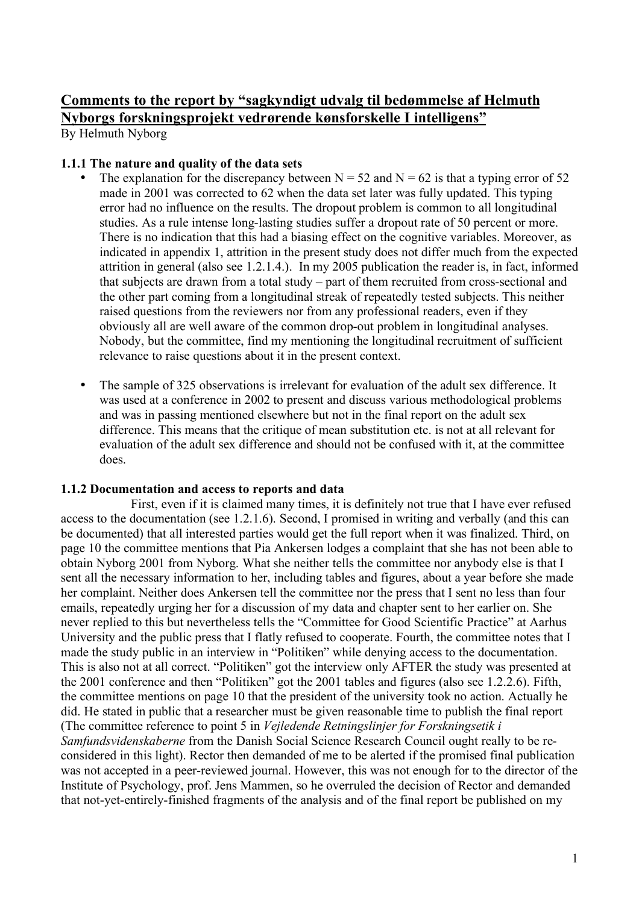# **Comments to the report by "sagkyndigt udvalg til bedømmelse af Helmuth Nyborgs forskningsprojekt vedrørende kønsforskelle I intelligens"**

By Helmuth Nyborg

### **1.1.1 The nature and quality of the data sets**

- The explanation for the discrepancy between  $N = 52$  and  $N = 62$  is that a typing error of 52 made in 2001 was corrected to 62 when the data set later was fully updated. This typing error had no influence on the results. The dropout problem is common to all longitudinal studies. As a rule intense long-lasting studies suffer a dropout rate of 50 percent or more. There is no indication that this had a biasing effect on the cognitive variables. Moreover, as indicated in appendix 1, attrition in the present study does not differ much from the expected attrition in general (also see 1.2.1.4.). In my 2005 publication the reader is, in fact, informed that subjects are drawn from a total study – part of them recruited from cross-sectional and the other part coming from a longitudinal streak of repeatedly tested subjects. This neither raised questions from the reviewers nor from any professional readers, even if they obviously all are well aware of the common drop-out problem in longitudinal analyses. Nobody, but the committee, find my mentioning the longitudinal recruitment of sufficient relevance to raise questions about it in the present context.
- The sample of 325 observations is irrelevant for evaluation of the adult sex difference. It was used at a conference in 2002 to present and discuss various methodological problems and was in passing mentioned elsewhere but not in the final report on the adult sex difference. This means that the critique of mean substitution etc. is not at all relevant for evaluation of the adult sex difference and should not be confused with it, at the committee does.

# **1.1.2 Documentation and access to reports and data**

First, even if it is claimed many times, it is definitely not true that I have ever refused access to the documentation (see 1.2.1.6). Second, I promised in writing and verbally (and this can be documented) that all interested parties would get the full report when it was finalized. Third, on page 10 the committee mentions that Pia Ankersen lodges a complaint that she has not been able to obtain Nyborg 2001 from Nyborg. What she neither tells the committee nor anybody else is that I sent all the necessary information to her, including tables and figures, about a year before she made her complaint. Neither does Ankersen tell the committee nor the press that I sent no less than four emails, repeatedly urging her for a discussion of my data and chapter sent to her earlier on. She never replied to this but nevertheless tells the "Committee for Good Scientific Practice" at Aarhus University and the public press that I flatly refused to cooperate. Fourth, the committee notes that I made the study public in an interview in "Politiken" while denying access to the documentation. This is also not at all correct. "Politiken" got the interview only AFTER the study was presented at the 2001 conference and then "Politiken" got the 2001 tables and figures (also see 1.2.2.6). Fifth, the committee mentions on page 10 that the president of the university took no action. Actually he did. He stated in public that a researcher must be given reasonable time to publish the final report (The committee reference to point 5 in *Vejledende Retningslinjer for Forskningsetik i Samfundsvidenskaberne* from the Danish Social Science Research Council ought really to be reconsidered in this light). Rector then demanded of me to be alerted if the promised final publication was not accepted in a peer-reviewed journal. However, this was not enough for to the director of the Institute of Psychology, prof. Jens Mammen, so he overruled the decision of Rector and demanded that not-yet-entirely-finished fragments of the analysis and of the final report be published on my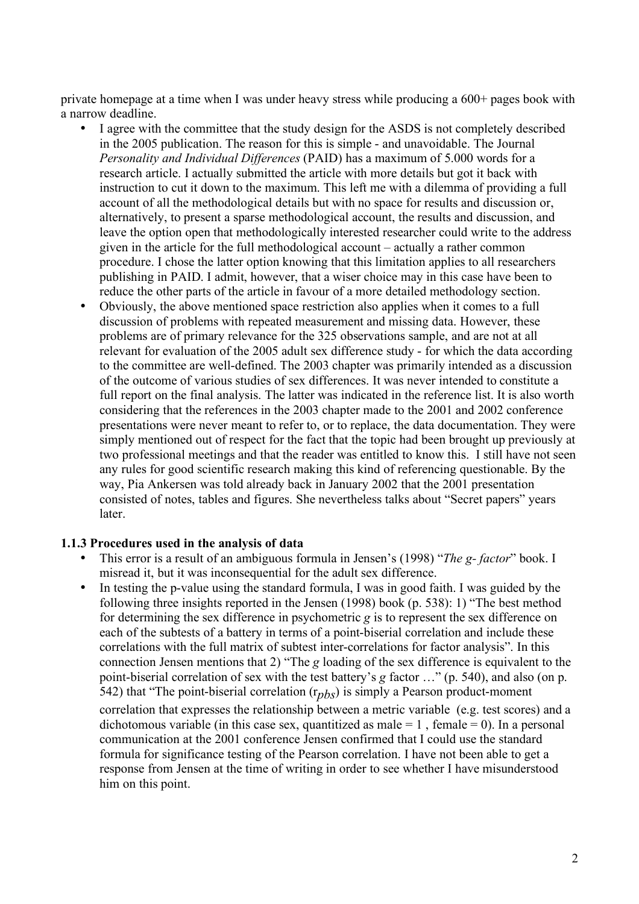private homepage at a time when I was under heavy stress while producing a 600+ pages book with a narrow deadline.

- I agree with the committee that the study design for the ASDS is not completely described in the 2005 publication. The reason for this is simple - and unavoidable. The Journal *Personality and Individual Differences* (PAID) has a maximum of 5.000 words for a research article. I actually submitted the article with more details but got it back with instruction to cut it down to the maximum. This left me with a dilemma of providing a full account of all the methodological details but with no space for results and discussion or, alternatively, to present a sparse methodological account, the results and discussion, and leave the option open that methodologically interested researcher could write to the address given in the article for the full methodological account – actually a rather common procedure. I chose the latter option knowing that this limitation applies to all researchers publishing in PAID. I admit, however, that a wiser choice may in this case have been to reduce the other parts of the article in favour of a more detailed methodology section.
- Obviously, the above mentioned space restriction also applies when it comes to a full discussion of problems with repeated measurement and missing data. However, these problems are of primary relevance for the 325 observations sample, and are not at all relevant for evaluation of the 2005 adult sex difference study - for which the data according to the committee are well-defined. The 2003 chapter was primarily intended as a discussion of the outcome of various studies of sex differences. It was never intended to constitute a full report on the final analysis. The latter was indicated in the reference list. It is also worth considering that the references in the 2003 chapter made to the 2001 and 2002 conference presentations were never meant to refer to, or to replace, the data documentation. They were simply mentioned out of respect for the fact that the topic had been brought up previously at two professional meetings and that the reader was entitled to know this. I still have not seen any rules for good scientific research making this kind of referencing questionable. By the way, Pia Ankersen was told already back in January 2002 that the 2001 presentation consisted of notes, tables and figures. She nevertheless talks about "Secret papers" years later.

#### **1.1.3 Procedures used in the analysis of data**

- This error is a result of an ambiguous formula in Jensen's (1998) "*The g- factor*" book. I misread it, but it was inconsequential for the adult sex difference.
- In testing the p-value using the standard formula, I was in good faith. I was guided by the following three insights reported in the Jensen (1998) book (p. 538): 1) "The best method for determining the sex difference in psychometric *g* is to represent the sex difference on each of the subtests of a battery in terms of a point-biserial correlation and include these correlations with the full matrix of subtest inter-correlations for factor analysis". In this connection Jensen mentions that 2) "The *g* loading of the sex difference is equivalent to the point-biserial correlation of sex with the test battery's *g* factor …" (p. 540), and also (on p. 542) that "The point-biserial correlation (r*pbs*) is simply a Pearson product-moment

correlation that expresses the relationship between a metric variable (e.g. test scores) and a dichotomous variable (in this case sex, quantitized as male  $= 1$ , female  $= 0$ ). In a personal communication at the 2001 conference Jensen confirmed that I could use the standard formula for significance testing of the Pearson correlation. I have not been able to get a response from Jensen at the time of writing in order to see whether I have misunderstood him on this point.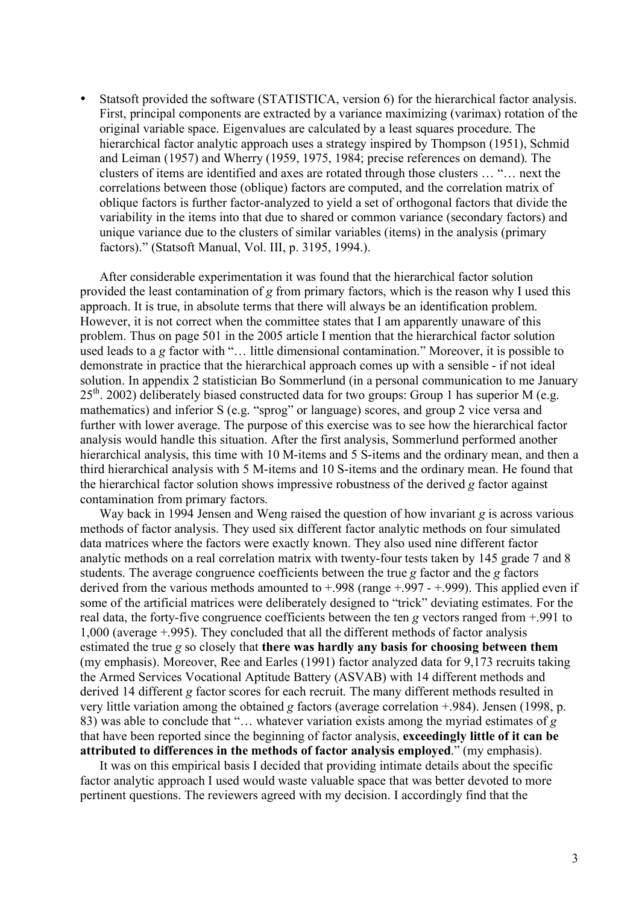• Statsoft provided the software (STATISTICA, version 6) for the hierarchical factor analysis. First, principal components are extracted by a variance maximizing (varimax) rotation of the original variable space. Eigenvalues are calculated by a least squares procedure. The hierarchical factor analytic approach uses a strategy inspired by Thompson (1951), Schmid and Leiman (1957) and Wherry (1959, 1975, 1984; precise references on demand). The clusters of items are identified and axes are rotated through those clusters … "… next the correlations between those (oblique) factors are computed, and the correlation matrix of oblique factors is further factor-analyzed to yield a set of orthogonal factors that divide the variability in the items into that due to shared or common variance (secondary factors) and unique variance due to the clusters of similar variables (items) in the analysis (primary factors)." (Statsoft Manual, Vol. III, p. 3195, 1994.).

After considerable experimentation it was found that the hierarchical factor solution provided the least contamination of *g* from primary factors, which is the reason why I used this approach. It is true, in absolute terms that there will always be an identification problem. However, it is not correct when the committee states that I am apparently unaware of this problem. Thus on page 501 in the 2005 article I mention that the hierarchical factor solution used leads to a *g* factor with "… little dimensional contamination." Moreover, it is possible to demonstrate in practice that the hierarchical approach comes up with a sensible - if not ideal solution. In appendix 2 statistician Bo Sommerlund (in a personal communication to me January  $25<sup>th</sup>$ . 2002) deliberately biased constructed data for two groups: Group 1 has superior M (e.g. mathematics) and inferior S (e.g. "sprog" or language) scores, and group 2 vice versa and further with lower average. The purpose of this exercise was to see how the hierarchical factor analysis would handle this situation. After the first analysis, Sommerlund performed another hierarchical analysis, this time with 10 M-items and 5 S-items and the ordinary mean, and then a third hierarchical analysis with 5 M-items and 10 S-items and the ordinary mean. He found that the hierarchical factor solution shows impressive robustness of the derived *g* factor against contamination from primary factors.

Way back in 1994 Jensen and Weng raised the question of how invariant *g* is across various methods of factor analysis. They used six different factor analytic methods on four simulated data matrices where the factors were exactly known. They also used nine different factor analytic methods on a real correlation matrix with twenty-four tests taken by 145 grade 7 and 8 students. The average congruence coefficients between the true *g* factor and the *g* factors derived from the various methods amounted to  $+0.998$  (range  $+0.997 - 0.999$ ). This applied even if some of the artificial matrices were deliberately designed to "trick" deviating estimates. For the real data, the forty-five congruence coefficients between the ten *g* vectors ranged from +.991 to 1,000 (average +.995). They concluded that all the different methods of factor analysis estimated the true *g* so closely that **there was hardly any basis for choosing between them**  (my emphasis). Moreover, Ree and Earles (1991) factor analyzed data for 9,173 recruits taking the Armed Services Vocational Aptitude Battery (ASVAB) with 14 different methods and derived 14 different *g* factor scores for each recruit. The many different methods resulted in very little variation among the obtained *g* factors (average correlation +.984). Jensen (1998, p. 83) was able to conclude that "… whatever variation exists among the myriad estimates of *g* that have been reported since the beginning of factor analysis, **exceedingly little of it can be attributed to differences in the methods of factor analysis employed**." (my emphasis).

It was on this empirical basis I decided that providing intimate details about the specific factor analytic approach I used would waste valuable space that was better devoted to more pertinent questions. The reviewers agreed with my decision. I accordingly find that the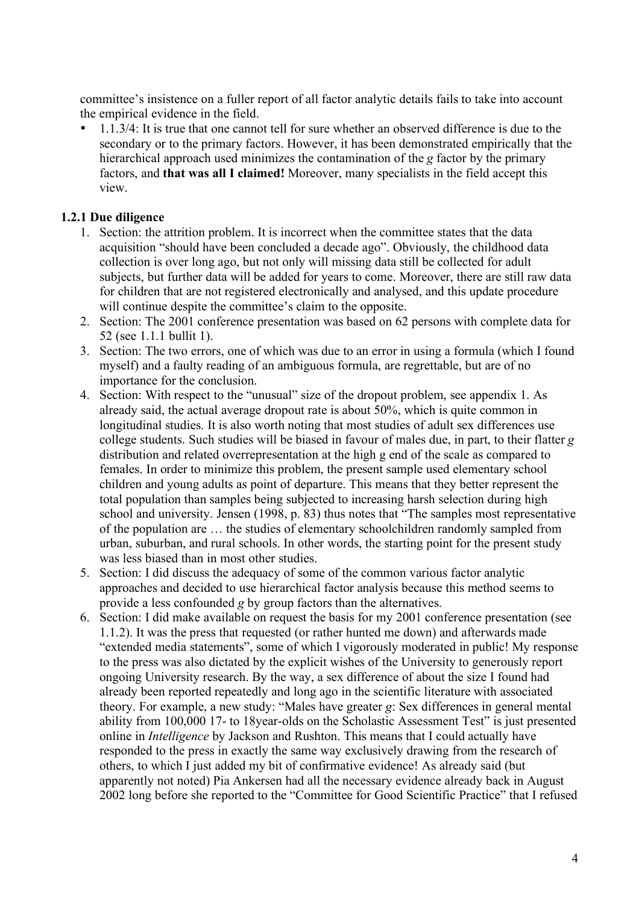committee's insistence on a fuller report of all factor analytic details fails to take into account the empirical evidence in the field.

• 1.1.3/4: It is true that one cannot tell for sure whether an observed difference is due to the secondary or to the primary factors. However, it has been demonstrated empirically that the hierarchical approach used minimizes the contamination of the *g* factor by the primary factors, and **that was all I claimed!** Moreover, many specialists in the field accept this view.

# **1.2.1 Due diligence**

- 1. Section: the attrition problem. It is incorrect when the committee states that the data acquisition "should have been concluded a decade ago". Obviously, the childhood data collection is over long ago, but not only will missing data still be collected for adult subjects, but further data will be added for years to come. Moreover, there are still raw data for children that are not registered electronically and analysed, and this update procedure will continue despite the committee's claim to the opposite.
- 2. Section: The 2001 conference presentation was based on 62 persons with complete data for 52 (see 1.1.1 bullit 1).
- 3. Section: The two errors, one of which was due to an error in using a formula (which I found myself) and a faulty reading of an ambiguous formula, are regrettable, but are of no importance for the conclusion.
- 4. Section: With respect to the "unusual" size of the dropout problem, see appendix 1. As already said, the actual average dropout rate is about 50%, which is quite common in longitudinal studies. It is also worth noting that most studies of adult sex differences use college students. Such studies will be biased in favour of males due, in part, to their flatter *g* distribution and related overrepresentation at the high g end of the scale as compared to females. In order to minimize this problem, the present sample used elementary school children and young adults as point of departure. This means that they better represent the total population than samples being subjected to increasing harsh selection during high school and university. Jensen (1998, p. 83) thus notes that "The samples most representative of the population are … the studies of elementary schoolchildren randomly sampled from urban, suburban, and rural schools. In other words, the starting point for the present study was less biased than in most other studies.
- 5. Section: I did discuss the adequacy of some of the common various factor analytic approaches and decided to use hierarchical factor analysis because this method seems to provide a less confounded *g* by group factors than the alternatives.
- 6. Section: I did make available on request the basis for my 2001 conference presentation (see 1.1.2). It was the press that requested (or rather hunted me down) and afterwards made "extended media statements", some of which I vigorously moderated in public! My response to the press was also dictated by the explicit wishes of the University to generously report ongoing University research. By the way, a sex difference of about the size I found had already been reported repeatedly and long ago in the scientific literature with associated theory. For example, a new study: "Males have greater *g*: Sex differences in general mental ability from 100,000 17- to 18year-olds on the Scholastic Assessment Test" is just presented online in *Intelligence* by Jackson and Rushton. This means that I could actually have responded to the press in exactly the same way exclusively drawing from the research of others, to which I just added my bit of confirmative evidence! As already said (but apparently not noted) Pia Ankersen had all the necessary evidence already back in August 2002 long before she reported to the "Committee for Good Scientific Practice" that I refused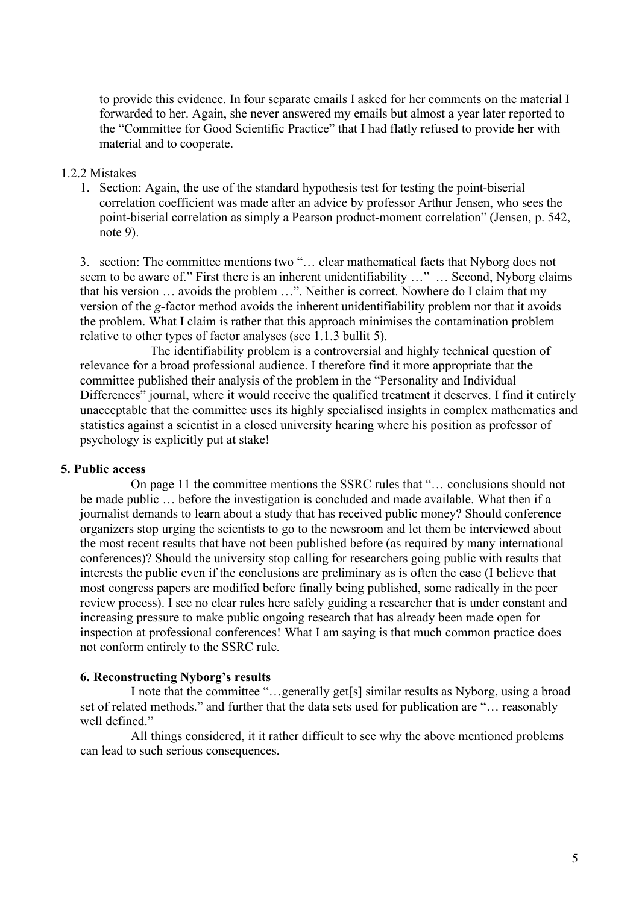to provide this evidence. In four separate emails I asked for her comments on the material I forwarded to her. Again, she never answered my emails but almost a year later reported to the "Committee for Good Scientific Practice" that I had flatly refused to provide her with material and to cooperate.

#### 1.2.2 Mistakes

1. Section: Again, the use of the standard hypothesis test for testing the point-biserial correlation coefficient was made after an advice by professor Arthur Jensen, who sees the point-biserial correlation as simply a Pearson product-moment correlation" (Jensen, p. 542, note 9).

3. section: The committee mentions two "… clear mathematical facts that Nyborg does not seem to be aware of." First there is an inherent unidentifiability ..." ... Second, Nyborg claims that his version … avoids the problem …". Neither is correct. Nowhere do I claim that my version of the *g*-factor method avoids the inherent unidentifiability problem nor that it avoids the problem. What I claim is rather that this approach minimises the contamination problem relative to other types of factor analyses (see 1.1.3 bullit 5).

The identifiability problem is a controversial and highly technical question of relevance for a broad professional audience. I therefore find it more appropriate that the committee published their analysis of the problem in the "Personality and Individual Differences" journal, where it would receive the qualified treatment it deserves. I find it entirely unacceptable that the committee uses its highly specialised insights in complex mathematics and statistics against a scientist in a closed university hearing where his position as professor of psychology is explicitly put at stake!

#### **5. Public access**

On page 11 the committee mentions the SSRC rules that "… conclusions should not be made public … before the investigation is concluded and made available. What then if a journalist demands to learn about a study that has received public money? Should conference organizers stop urging the scientists to go to the newsroom and let them be interviewed about the most recent results that have not been published before (as required by many international conferences)? Should the university stop calling for researchers going public with results that interests the public even if the conclusions are preliminary as is often the case (I believe that most congress papers are modified before finally being published, some radically in the peer review process). I see no clear rules here safely guiding a researcher that is under constant and increasing pressure to make public ongoing research that has already been made open for inspection at professional conferences! What I am saying is that much common practice does not conform entirely to the SSRC rule.

#### **6. Reconstructing Nyborg's results**

I note that the committee "…generally get[s] similar results as Nyborg, using a broad set of related methods." and further that the data sets used for publication are "… reasonably well defined."

All things considered, it it rather difficult to see why the above mentioned problems can lead to such serious consequences.